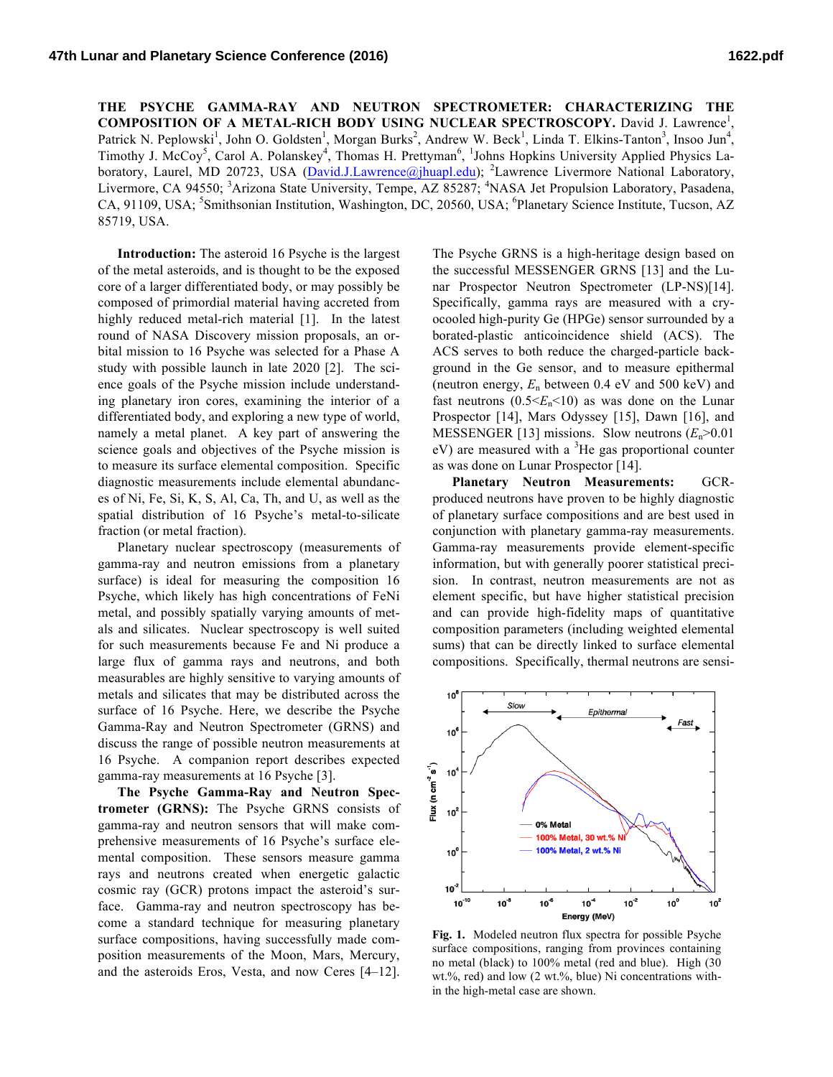**THE PSYCHE GAMMA-RAY AND NEUTRON SPECTROMETER: CHARACTERIZING THE**  COMPOSITION OF A METAL-RICH BODY USING NUCLEAR SPECTROSCOPY. David J. Lawrence<sup>1</sup>, Patrick N. Peplowski<sup>1</sup>, John O. Goldsten<sup>1</sup>, Morgan Burks<sup>2</sup>, Andrew W. Beck<sup>1</sup>, Linda T. Elkins-Tanton<sup>3</sup>, Insoo Jun<sup>4</sup>, Timothy J. McCoy<sup>5</sup>, Carol A. Polanskey<sup>4</sup>, Thomas H. Prettyman<sup>6</sup>, <sup>1</sup>Johns Hopkins University Applied Physics Laboratory, Laurel, MD 20723, USA (David.J.Lawrence@jhuapl.edu); <sup>2</sup>Lawrence Livermore National Laboratory, Livermore, CA 94550; <sup>3</sup>Arizona State University, Tempe, AZ 85287; <sup>4</sup>NASA Jet Propulsion Laboratory, Pasadena, CA, 91109, USA; <sup>5</sup>Smithsonian Institution, Washington, DC, 20560, USA; <sup>6</sup>Planetary Science Institute, Tucson, AZ 85719, USA.

**Introduction:** The asteroid 16 Psyche is the largest of the metal asteroids, and is thought to be the exposed core of a larger differentiated body, or may possibly be composed of primordial material having accreted from highly reduced metal-rich material [1]. In the latest round of NASA Discovery mission proposals, an orbital mission to 16 Psyche was selected for a Phase A study with possible launch in late 2020 [2]. The science goals of the Psyche mission include understanding planetary iron cores, examining the interior of a differentiated body, and exploring a new type of world, namely a metal planet. A key part of answering the science goals and objectives of the Psyche mission is to measure its surface elemental composition. Specific diagnostic measurements include elemental abundances of Ni, Fe, Si, K, S, Al, Ca, Th, and U, as well as the spatial distribution of 16 Psyche's metal-to-silicate fraction (or metal fraction).

Planetary nuclear spectroscopy (measurements of gamma-ray and neutron emissions from a planetary surface) is ideal for measuring the composition 16 Psyche, which likely has high concentrations of FeNi metal, and possibly spatially varying amounts of metals and silicates. Nuclear spectroscopy is well suited for such measurements because Fe and Ni produce a large flux of gamma rays and neutrons, and both measurables are highly sensitive to varying amounts of metals and silicates that may be distributed across the surface of 16 Psyche. Here, we describe the Psyche Gamma-Ray and Neutron Spectrometer (GRNS) and discuss the range of possible neutron measurements at 16 Psyche. A companion report describes expected gamma-ray measurements at 16 Psyche [3].

**The Psyche Gamma-Ray and Neutron Spectrometer (GRNS):** The Psyche GRNS consists of gamma-ray and neutron sensors that will make comprehensive measurements of 16 Psyche's surface elemental composition. These sensors measure gamma rays and neutrons created when energetic galactic cosmic ray (GCR) protons impact the asteroid's surface. Gamma-ray and neutron spectroscopy has become a standard technique for measuring planetary surface compositions, having successfully made composition measurements of the Moon, Mars, Mercury, and the asteroids Eros, Vesta, and now Ceres [4–12].

The Psyche GRNS is a high-heritage design based on the successful MESSENGER GRNS [13] and the Lunar Prospector Neutron Spectrometer (LP-NS)[14]. Specifically, gamma rays are measured with a cryocooled high-purity Ge (HPGe) sensor surrounded by a borated-plastic anticoincidence shield (ACS). The ACS serves to both reduce the charged-particle background in the Ge sensor, and to measure epithermal (neutron energy, *E*<sup>n</sup> between 0.4 eV and 500 keV) and fast neutrons  $(0.5 \le E_n \le 10)$  as was done on the Lunar Prospector [14], Mars Odyssey [15], Dawn [16], and MESSENGER [13] missions. Slow neutrons  $(E_n > 0.01$  $eV$ ) are measured with a  ${}^{3}$ He gas proportional counter as was done on Lunar Prospector [14].

**Planetary Neutron Measurements:** GCRproduced neutrons have proven to be highly diagnostic of planetary surface compositions and are best used in conjunction with planetary gamma-ray measurements. Gamma-ray measurements provide element-specific information, but with generally poorer statistical precision. In contrast, neutron measurements are not as element specific, but have higher statistical precision and can provide high-fidelity maps of quantitative composition parameters (including weighted elemental sums) that can be directly linked to surface elemental compositions. Specifically, thermal neutrons are sensi-



**Fig. 1.** Modeled neutron flux spectra for possible Psyche surface compositions, ranging from provinces containing no metal (black) to 100% metal (red and blue). High (30 wt.%, red) and low (2 wt.%, blue) Ni concentrations within the high-metal case are shown.